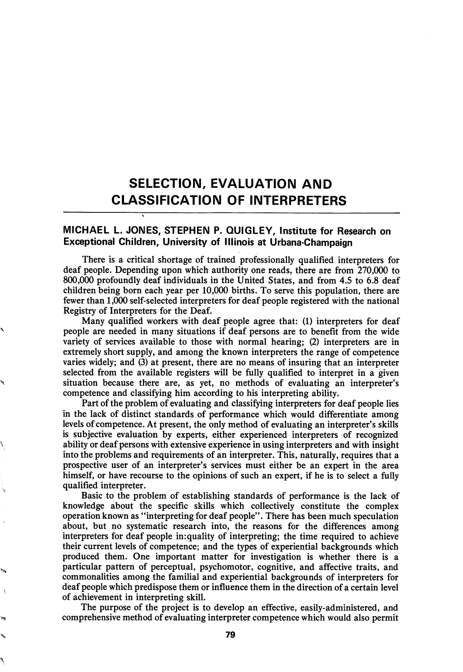# SELECTION, EVALUATION AND CLASSIFICATION OF INTERPRETERS

## MICHAEL L. JONES, STEPHEN P. QUIGLEY, institute for Research on Exceptional Children, University of Illinois at Urbana-Champaign

 $\ddot{\phantom{0}}$ 

There is a critical shortage of trained professionally qualified interpreters for deaf people. Depending upon which authority one reads, there are from 270,000 to 800,000 profoundly deaf individuals in the United States, and from 4.5 to 6.8 deaf children being born each year per 10,000 births. To serve this population, there are fewer than 1,000 self-selected interpreters for deaf people registered with the national Registry of Interpreters for the Deaf.

Many qualified workers with deaf people agree that: (1) interpreters for deaf people are needed in many situations if deaf persons are to benefit from the wide variety of services available to those with normal hearing; (2) interpreters are in extremely short supply, and among the known interpreters the range of competence varies widely; and (3) at present, there are no means of insuring that an interpreter selected from the available registers will be fully qualified to interpret in a given situation because there are, as yet, no methods of evaluating an interpreter's competence and classifying him according to his interpreting ability.

Part of the problem of evaluating and classifying interpreters for deaf people lies in the lack of distinct standards of performance which would differentiate among levels of competence. At present, the only method of evaluating an interpreter's skills is subjective evaluation by experts, either experienced interpreters of recognized ability or deaf persons with extensive experience in using interpreters and with insight into the problems and requirements of an interpreter. This, naturally, requires that a prospective user of an interpreter's services must either be an expert in the area himself, or have recourse to the opinions of such an expert, if he is to select a fully qualified interpreter.

Basic to the problem of establishing standards of performance is the lack of knowledge about the specific skills which collectively constitute the complex operation known as \*'interpreting for deaf people". There has been much speculation about, but no systematic research into, the reasons for the differences among interpreters for deaf people in:quality of interpreting; the time required to achieve their current levels of competence; and the types of experiential backgrounds which produced them. One important matter for investigation is whether there is a particular pattern of perceptual, psychomotor, cognitive, and affective traits, and commonalities among the familial and experiential backgrounds of interpreters for deaf people which predispose them or influence them in the direction of a certain level of achievement in interpreting skill.

The purpose of the project is to develop an effective, easily-administered, and comprehensive method of evaluating interpreter competence which would also permit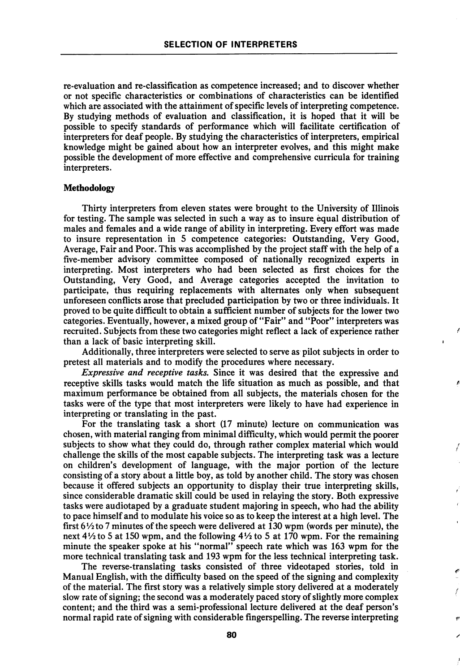re-evaluation and re-classification as competence increased; and to discover whether or not specific characteristics or combinations of characteristics can be identified which are associated with the attainment of specific levels of interpreting competence. By studying methods of evaluation and classification, it is hoped that it will be possible to specify standards of performance which will facilitate certification of interpreters for deaf people. By studying the characteristics of interpreters, empirical knowledge might be gained about how an interpreter evolves, and this might make possible the development of more effective and comprehensive curricula for training interpreters.

#### Methodology

Thirty interpreters from eleven states were brought to the University of Illinois for testing. The sample was selected in such a way as to insure equal distribution of males and females and a wide range of ability in interpreting. Every effort was made to insure representation in 5 competence categories: Outstanding, Very Good, Average, Fair and Poor. This was accomplished by the project staff with the help of a five-member advisory committee composed of nationally recognized experts in interpreting. Most interpreters who had been selected as first choices for the Outstanding, Very Good, and Average categories accepted the invitation to participate, thus requiring replacements with alternates only when subsequent unforeseen conflicts arose that precluded participation by two or three individuals. It proved to be quite difficult to obtain a sufficient number of subjects for the lower two categories. Eventually, however, a mixed group of "Fair" and "Poor" interpreters was recruited. Subjects from these two categories might reflect a lack of experience rather than a lack of basic interpreting skill.

Additionally, three interpreters were selected to serve as pilot subjects in order to pretest all materials and to modify the procedures where necessary.

f

þ

Expressive and receptive tasks. Since it was desired that the expressive and receptive skills tasks would match the life situation as much as possible, and that maximum performance be obtained from all subjects, the materials chosen for the tasks were of the type that most interpreters were likely to have had experience in interpreting or translating in the past.

For the translating task a short (17 minute) lecture on communication was chosen, with material ranging from minimal difficulty, which would permit the poorer subjects to show what they could do, through rather complex material which would challenge the skills of the most capable subjects. The interpreting task was a lecture on children's development of language, with the major portion of the lecture consisting of a story about a little boy, as told by another child. The story was chosen because it offered subjects an opportunity to display their true interpreting skills, since considerable dramatic skill could be used in relaying the story. Both expressive tasks were audiotaped by a graduate student majoring in speech, who had the ability to pace himself and to modulate his voice so as to keep the interest at a high level. The first  $6\frac{1}{2}$  to 7 minutes of the speech were delivered at 130 wpm (words per minute), the next  $4\frac{1}{2}$  to 5 at 150 wpm, and the following  $4\frac{1}{2}$  to 5 at 170 wpm. For the remaining minute the speaker spoke at his "normal" speech rate which was 163 wpm for the more technical translating task and 193 wpm for the less technical interpreting task.

The reverse-translating tasks consisted of three videotaped stories, told in Manual English, with the difficulty based on the speed of the signing and complexity of the material. The first story was a relatively simple story delivered at a moderately slow rate of signing; the second was a moderately paced story of slightly more complex content; and the third was a semi-professional lecture delivered at the deaf person's normal rapid rate of signing with considerable fingerspelling. The reverse interpreting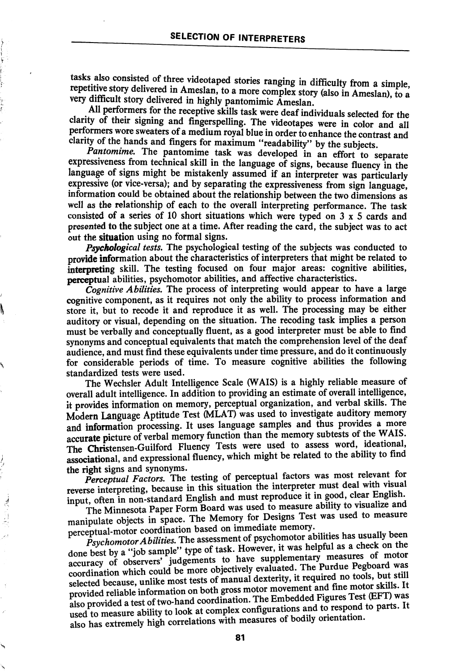tasks also consisted of three videotaped stories ranging in difficulty from a simple, repetitive story delivered in Ameslan, to a more complex story (also in Ameslan), to a very difficult story delivered in highly pantomimic Ameslan.

All performers for the receptive skills task were deaf individuals selected for the clarity of their signing and fingerspelling. The videotapes were in color and all performers wore sweaters of a medium royal blue in order to enhance the contrast and clarity of the hands and fingers for maximum "readability" by the subjects.

Pantomime. The pantomime task was developed in an effort to separate expressiveness from technical skill in the language of signs, because fluency in the language of signs might be mistakenly assumed if an interpreter was particularly expressive (or vice-versa); and by separating the expressiveness from sign language, information could be obtained about the relationship between the two dimensions as well as the relationship of each to the overall interpreting performance. The task consisted of a series of 10 short situations which were typed on  $3 \times 5$  cards and presented to the subject one at a time. After reading the card, the subject was to act out the situation using no formal signs.

Psychological tests. The psychological testing of the subjects was conducted to provide information about the characteristics of interpreters that might be related to interpreting skill. The testing focused on four major areas: cognitive abilities, perceptual abilities, psychomotor abilities, and affective characteristics.

Cognitive Abilities. The process of interpreting would appear to have a large cognitive component, as it requires not only the ability to process information and store it, but to recode it and reproduce it as well. The processing may be either auditory or visual, depending on the situation. The receding task implies a person must be verbally and conceptually fluent, as a good interpreter must be able to find synonyms and conceptual equivalents that match the comprehension level of the deaf audience, and must find these equivalents under time pressure, and do it continuously for considerable periods of time. To measure cognitive abilities the following standardized tests were used.

The Wechsler Adult Intelligence Scale (WAIS) is a highly reliable measure of overall adult intelligence. In addition to providing an estimate of overall intelligence, it provides information on memory, perceptual organization, and verbal skills. The Modern Language Aptitude Test (MLAT) was used to investigate auditory memory and information processing. It uses language samples and thus provides a more and information processing. It uses language samples and thus provides  $WAYE$ accurate picture of verbal memory function than the memory subtests of the WAIS. The Christensen-Guilford Fluency Tests were used to assess word, included to the ability to find associational, and expressional fluency, which might be related to the ability to find the right signs and synonyms.

Perceptual Factors. The testing of perceptual factors was most relevant for reverse interpreting, because in this situation the interpreter must deal with visual input, often in non-standard English and must reproduce it in good, clear English.<br>The Minnesota Paper Form Board was used to measure ability to visualize and

The Minnesota Paper Form Board was used to measure ability to visualize and manipulate objects in space. The Memory for Designs Test was used to measure perceptual-motor coordination based on immediate memory.

法国地

 $\tilde{P}$ sychomotor Abilities. The assessment of psychomotor abilities has usually been done best by a "job sample" type of task. However, it was helpful as a check on the accuracy of observers' judgements to have supplementary measures of motor accuracy of observers' judgements to have supplementally measured be<br>coordination which could be more objectively evaluated. The Purdue Pegboard was<br>interest of manual devierity it required no tools, but still selected because, unlike most tests of manual dexterity, it required no tools, but still provided reliable information on both gross motor movement and fine motor skills. It also provided a test of two-hand coordination. T used to measure ability to look at complex configurations and to respond to parts. It also has extremely high correlations with measures of bodily orientation.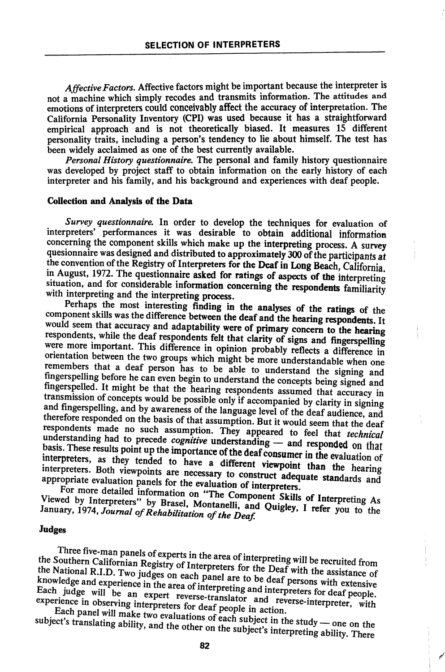Affective Factors. Affective factors might be important because the interpreter is not a machine which simply recodes and transmits information. The attitudes and emotions of interpreters could conceivably affect the accuracy of interpretation. The California Personality Inventory (CPI) was used because it has a straightforward empirical approach and is not theoretically biased. It measures 15 different personality traits, including a person's tendency to lie about himself. The test has been widely acclaimed as one of the best currently available.

Personal History questionnaire. The personal and family history questionnaire was developed by project staff to obtain information on the early history of each interpreter and his family, and his background and experiences with deaf people.

#### Collection and Analysis of the Data

Survey questionnaire. In order to develop the techniques for evaluation of interpreters' performances it was desirable to obtain additional information concerning the component skills which make up the interpreting process. A survey quesionnaire was designed and distributed to approximately 300 of the participants at the convention of the Registry of Interpreters for the Deaf in Long Beach, California, in August, 1972. The questionnaire asked for ratings of aspects of the interpreting situation, and for considerable information concerning the respondents familiarity with interpreting and the interpreting process.

Perhaps the most interesting finding in the analyses of the ratings of the component skills was the difference between the deaf and the hearing respondents. It would seem that accuracy and adaptability were of primary concern to the hearing respondents, while the deaf respondents felt that clarity of signs and fingerspelling were more important. This difference in opinion probably reflects a difference in orientation between the two groups which might be more understandable when one remembers that a deaf person has to be able to understand the signing and fingerspelling before he can even begin to understand the concepts being signed and fingerspelled. It might be that the hearing respondents assumed that accuracy in transmission of concepts would be possible only if accompanied by clarity in signing and fingerspelling, and by awareness of the language level of the deaf audience, and therefore responded on the basis of that assumption. But it would seem that the deaf respondents made no such assumption. They appeared to feel that *technical* understanding had to precede *cognitive* understanding — and responded on that basis. These results point up the importance of the deaf consumer in the evaluation of interpreters, as they tended to have a different viewpo interpreters, as they tended to have a different viewpoint than the hearing<br>interpreters. Both viewpoints are necessary to construct adequate standards and<br>appropriate evaluation panels for the evaluation of interes appropriate evaluation panels for the evaluation of interpreters.<br>Ref. more detailed informals for the evaluation of interpreters.

For more detailed information on "The Component Skills of Interpreting As Viewed by Interpreters" by Brasel, Montanelli, and Quigley, I refer you to the<br>January, 1974, Journal of Rehabilitation of the Doof. January, 1974, Journal of Rehabilitation of the Deaf.

### Judges

Three five-man panels of experts in the area of interpreting will be recruited from<br>the Southern Californian Registry of Interpreters for the Deaf with the assistance of the National R.I.D. Two judges on each panel are to be deaf persons with extensive knowledge and experience in the area of interpreting and interpreters for deaf people.<br>Each judge will be an expert reverse-translator and reverse-interpreter, with experience in observing interpreters for deaf people in a Each judge will be an expert reverse-translator and reverse-interpreter, with experience in observing interpreters for deaf people in action.<br>Each panel will make two evaluations of each subject in the study — one on the

subject's translating ability, and the other on the subject's interpreting ability. There